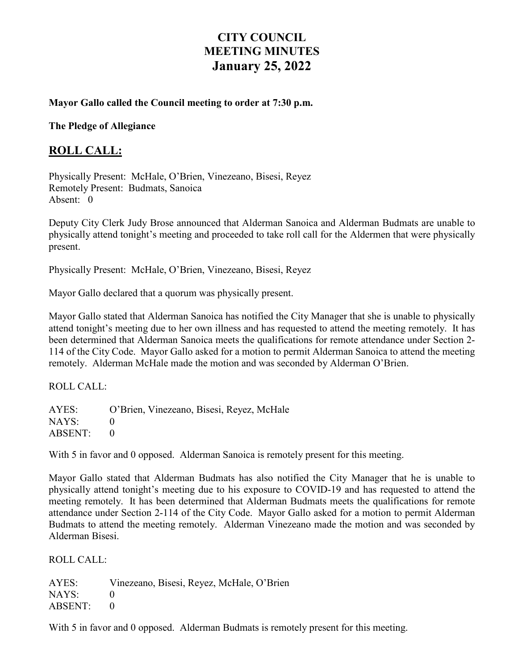# **CITY COUNCIL MEETING MINUTES January 25, 2022**

#### **Mayor Gallo called the Council meeting to order at 7:30 p.m.**

**The Pledge of Allegiance** 

#### **ROLL CALL:**

Physically Present: McHale, O'Brien, Vinezeano, Bisesi, Reyez Remotely Present: Budmats, Sanoica Absent: 0

Deputy City Clerk Judy Brose announced that Alderman Sanoica and Alderman Budmats are unable to physically attend tonight's meeting and proceeded to take roll call for the Aldermen that were physically present.

Physically Present: McHale, O'Brien, Vinezeano, Bisesi, Reyez

Mayor Gallo declared that a quorum was physically present.

Mayor Gallo stated that Alderman Sanoica has notified the City Manager that she is unable to physically attend tonight's meeting due to her own illness and has requested to attend the meeting remotely. It has been determined that Alderman Sanoica meets the qualifications for remote attendance under Section 2- 114 of the City Code. Mayor Gallo asked for a motion to permit Alderman Sanoica to attend the meeting remotely. Alderman McHale made the motion and was seconded by Alderman O'Brien.

ROLL CALL:

AYES: O'Brien, Vinezeano, Bisesi, Reyez, McHale NAYS: 0 ABSENT: 0

With 5 in favor and 0 opposed. Alderman Sanoica is remotely present for this meeting.

Mayor Gallo stated that Alderman Budmats has also notified the City Manager that he is unable to physically attend tonight's meeting due to his exposure to COVID-19 and has requested to attend the meeting remotely. It has been determined that Alderman Budmats meets the qualifications for remote attendance under Section 2-114 of the City Code. Mayor Gallo asked for a motion to permit Alderman Budmats to attend the meeting remotely. Alderman Vinezeano made the motion and was seconded by Alderman Bisesi.

ROLL CALL:

AYES: Vinezeano, Bisesi, Reyez, McHale, O'Brien  $NAYS: 0$ ABSENT: 0

With 5 in favor and 0 opposed. Alderman Budmats is remotely present for this meeting.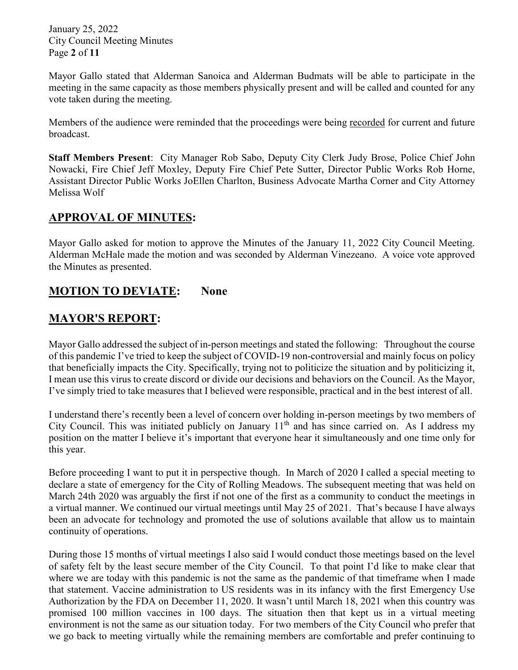January 25, 2022 City Council Meeting Minutes Page **2** of **11**

Mayor Gallo stated that Alderman Sanoica and Alderman Budmats will be able to participate in the meeting in the same capacity as those members physically present and will be called and counted for any vote taken during the meeting.

Members of the audience were reminded that the proceedings were being recorded for current and future broadcast.

**Staff Members Present**: City Manager Rob Sabo, Deputy City Clerk Judy Brose, Police Chief John Nowacki, Fire Chief Jeff Moxley, Deputy Fire Chief Pete Sutter, Director Public Works Rob Horne, Assistant Director Public Works JoEllen Charlton, Business Advocate Martha Corner and City Attorney Melissa Wolf

### **APPROVAL OF MINUTES:**

Mayor Gallo asked for motion to approve the Minutes of the January 11, 2022 City Council Meeting. Alderman McHale made the motion and was seconded by Alderman Vinezeano. A voice vote approved the Minutes as presented.

### **MOTION TO DEVIATE: None**

### **MAYOR'S REPORT:**

Mayor Gallo addressed the subject of in-person meetings and stated the following: Throughout the course of this pandemic I've tried to keep the subject of COVID-19 non-controversial and mainly focus on policy that beneficially impacts the City. Specifically, trying not to politicize the situation and by politicizing it, I mean use this virus to create discord or divide our decisions and behaviors on the Council. As the Mayor, I've simply tried to take measures that I believed were responsible, practical and in the best interest of all.

I understand there's recently been a level of concern over holding in-person meetings by two members of City Council. This was initiated publicly on January  $11<sup>th</sup>$  and has since carried on. As I address my position on the matter I believe it's important that everyone hear it simultaneously and one time only for this year.

Before proceeding I want to put it in perspective though. In March of 2020 I called a special meeting to declare a state of emergency for the City of Rolling Meadows. The subsequent meeting that was held on March 24th 2020 was arguably the first if not one of the first as a community to conduct the meetings in a virtual manner. We continued our virtual meetings until May 25 of 2021. That's because I have always been an advocate for technology and promoted the use of solutions available that allow us to maintain continuity of operations.

During those 15 months of virtual meetings I also said I would conduct those meetings based on the level of safety felt by the least secure member of the City Council. To that point I'd like to make clear that where we are today with this pandemic is not the same as the pandemic of that timeframe when I made that statement. Vaccine administration to US residents was in its infancy with the first Emergency Use Authorization by the FDA on December 11, 2020. It wasn't until March 18, 2021 when this country was promised 100 million vaccines in 100 days. The situation then that kept us in a virtual meeting environment is not the same as our situation today. For two members of the City Council who prefer that we go back to meeting virtually while the remaining members are comfortable and prefer continuing to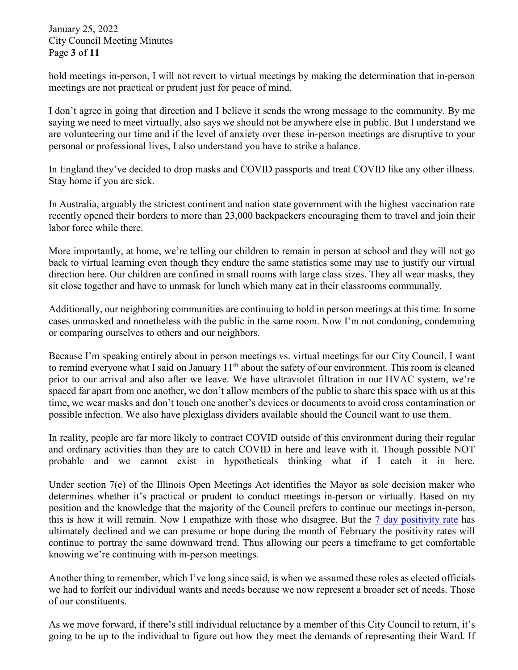January 25, 2022 City Council Meeting Minutes Page **3** of **11**

hold meetings in-person, I will not revert to virtual meetings by making the determination that in-person meetings are not practical or prudent just for peace of mind.

I don't agree in going that direction and I believe it sends the wrong message to the community. By me saying we need to meet virtually, also says we should not be anywhere else in public. But I understand we are volunteering our time and if the level of anxiety over these in-person meetings are disruptive to your personal or professional lives, I also understand you have to strike a balance.

In England they've decided to drop masks and COVID passports and treat COVID like any other illness. Stay home if you are sick.

In Australia, arguably the strictest continent and nation state government with the highest vaccination rate recently opened their borders to more than 23,000 backpackers encouraging them to travel and join their labor force while there.

More importantly, at home, we're telling our children to remain in person at school and they will not go back to virtual learning even though they endure the same statistics some may use to justify our virtual direction here. Our children are confined in small rooms with large class sizes. They all wear masks, they sit close together and have to unmask for lunch which many eat in their classrooms communally.

Additionally, our neighboring communities are continuing to hold in person meetings at this time. In some cases unmasked and nonetheless with the public in the same room. Now I'm not condoning, condemning or comparing ourselves to others and our neighbors.

Because I'm speaking entirely about in person meetings vs. virtual meetings for our City Council, I want to remind everyone what I said on January  $11<sup>th</sup>$  about the safety of our environment. This room is cleaned prior to our arrival and also after we leave. We have ultraviolet filtration in our HVAC system, we're spaced far apart from one another, we don't allow members of the public to share this space with us at this time, we wear masks and don't touch one another's devices or documents to avoid cross contamination or possible infection. We also have plexiglass dividers available should the Council want to use them.

In reality, people are far more likely to contract COVID outside of this environment during their regular and ordinary activities than they are to catch COVID in here and leave with it. Though possible NOT probable and we cannot exist in hypotheticals thinking what if I catch it in here.

Under section 7(e) of the Illinois Open Meetings Act identifies the Mayor as sole decision maker who determines whether it's practical or prudent to conduct meetings in-person or virtually. Based on my position and the knowledge that the majority of the Council prefers to continue our meetings in-person, this is how it will remain. Now I empathize with those who disagree. But the [7 day positivity rate](https://covid-dashboard.fsm.northwestern.edu/) has ultimately declined and we can presume or hope during the month of February the positivity rates will continue to portray the same downward trend. Thus allowing our peers a timeframe to get comfortable knowing we're continuing with in-person meetings.

Another thing to remember, which I've long since said, is when we assumed these roles as elected officials we had to forfeit our individual wants and needs because we now represent a broader set of needs. Those of our constituents.

As we move forward, if there's still individual reluctance by a member of this City Council to return, it's going to be up to the individual to figure out how they meet the demands of representing their Ward. If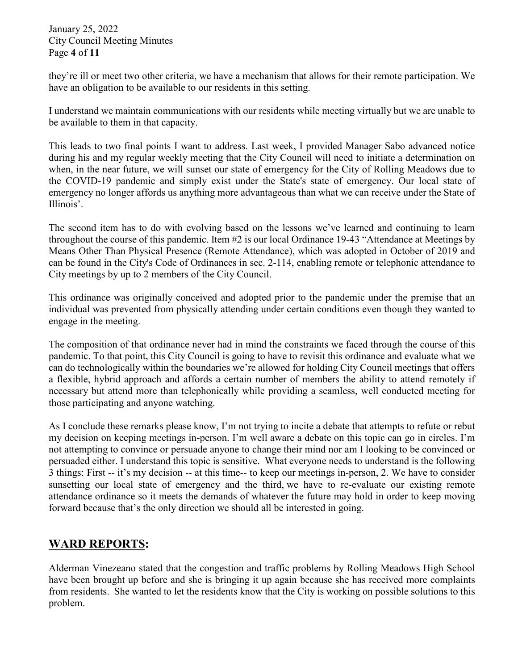January 25, 2022 City Council Meeting Minutes Page **4** of **11**

they're ill or meet two other criteria, we have a mechanism that allows for their remote participation. We have an obligation to be available to our residents in this setting.

I understand we maintain communications with our residents while meeting virtually but we are unable to be available to them in that capacity.

This leads to two final points I want to address. Last week, I provided Manager Sabo advanced notice during his and my regular weekly meeting that the City Council will need to initiate a determination on when, in the near future, we will sunset our state of emergency for the City of Rolling Meadows due to the COVID-19 pandemic and simply exist under the State's state of emergency. Our local state of emergency no longer affords us anything more advantageous than what we can receive under the State of Illinois'.

The second item has to do with evolving based on the lessons we've learned and continuing to learn throughout the course of this pandemic. Item #2 is our local Ordinance 19-43 "Attendance at Meetings by Means Other Than Physical Presence (Remote Attendance), which was adopted in October of 2019 and can be found in the City's Code of Ordinances in sec. 2-114, enabling remote or telephonic attendance to City meetings by up to 2 members of the City Council.

This ordinance was originally conceived and adopted prior to the pandemic under the premise that an individual was prevented from physically attending under certain conditions even though they wanted to engage in the meeting.

The composition of that ordinance never had in mind the constraints we faced through the course of this pandemic. To that point, this City Council is going to have to revisit this ordinance and evaluate what we can do technologically within the boundaries we're allowed for holding City Council meetings that offers a flexible, hybrid approach and affords a certain number of members the ability to attend remotely if necessary but attend more than telephonically while providing a seamless, well conducted meeting for those participating and anyone watching.

As I conclude these remarks please know, I'm not trying to incite a debate that attempts to refute or rebut my decision on keeping meetings in-person. I'm well aware a debate on this topic can go in circles. I'm not attempting to convince or persuade anyone to change their mind nor am I looking to be convinced or persuaded either. I understand this topic is sensitive. What everyone needs to understand is the following 3 things: First -- it's my decision -- at this time-- to keep our meetings in-person, 2. We have to consider sunsetting our local state of emergency and the third, we have to re-evaluate our existing remote attendance ordinance so it meets the demands of whatever the future may hold in order to keep moving forward because that's the only direction we should all be interested in going.

# **WARD REPORTS:**

Alderman Vinezeano stated that the congestion and traffic problems by Rolling Meadows High School have been brought up before and she is bringing it up again because she has received more complaints from residents. She wanted to let the residents know that the City is working on possible solutions to this problem.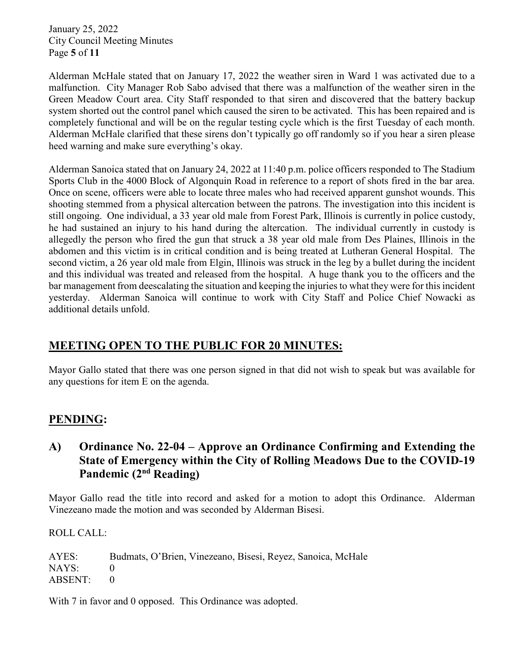January 25, 2022 City Council Meeting Minutes Page **5** of **11**

Alderman McHale stated that on January 17, 2022 the weather siren in Ward 1 was activated due to a malfunction. City Manager Rob Sabo advised that there was a malfunction of the weather siren in the Green Meadow Court area. City Staff responded to that siren and discovered that the battery backup system shorted out the control panel which caused the siren to be activated. This has been repaired and is completely functional and will be on the regular testing cycle which is the first Tuesday of each month. Alderman McHale clarified that these sirens don't typically go off randomly so if you hear a siren please heed warning and make sure everything's okay.

Alderman Sanoica stated that on January 24, 2022 at 11:40 p.m. police officers responded to The Stadium Sports Club in the 4000 Block of Algonquin Road in reference to a report of shots fired in the bar area. Once on scene, officers were able to locate three males who had received apparent gunshot wounds. This shooting stemmed from a physical altercation between the patrons. The investigation into this incident is still ongoing. One individual, a 33 year old male from Forest Park, Illinois is currently in police custody, he had sustained an injury to his hand during the altercation. The individual currently in custody is allegedly the person who fired the gun that struck a 38 year old male from Des Plaines, Illinois in the abdomen and this victim is in critical condition and is being treated at Lutheran General Hospital. The second victim, a 26 year old male from Elgin, Illinois was struck in the leg by a bullet during the incident and this individual was treated and released from the hospital. A huge thank you to the officers and the bar management from deescalating the situation and keeping the injuries to what they were for this incident yesterday. Alderman Sanoica will continue to work with City Staff and Police Chief Nowacki as additional details unfold.

# **MEETING OPEN TO THE PUBLIC FOR 20 MINUTES:**

Mayor Gallo stated that there was one person signed in that did not wish to speak but was available for any questions for item E on the agenda.

#### **PENDING:**

### **A) Ordinance No. 22-04 – Approve an Ordinance Confirming and Extending the State of Emergency within the City of Rolling Meadows Due to the COVID-19 Pandemic (2nd Reading)**

Mayor Gallo read the title into record and asked for a motion to adopt this Ordinance. Alderman Vinezeano made the motion and was seconded by Alderman Bisesi.

ROLL CALL:

AYES: Budmats, O'Brien, Vinezeano, Bisesi, Reyez, Sanoica, McHale NAYS: 0 ABSENT: 0

With 7 in favor and 0 opposed. This Ordinance was adopted.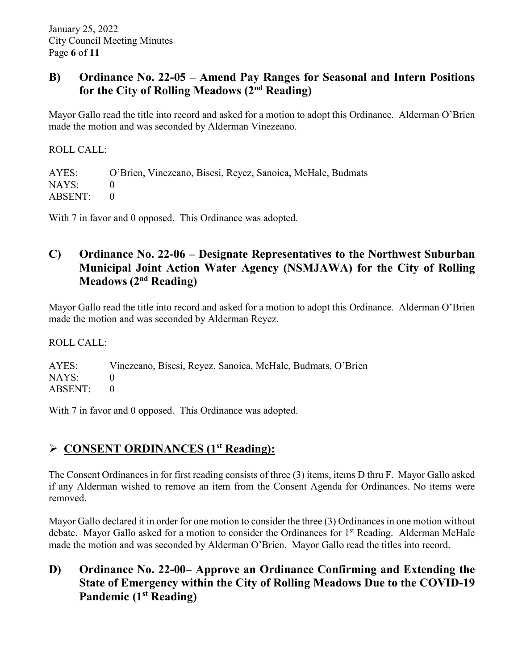#### **B) Ordinance No. 22-05 – Amend Pay Ranges for Seasonal and Intern Positions for the City of Rolling Meadows (2nd Reading)**

Mayor Gallo read the title into record and asked for a motion to adopt this Ordinance. Alderman O'Brien made the motion and was seconded by Alderman Vinezeano.

ROLL CALL: AYES: O'Brien, Vinezeano, Bisesi, Reyez, Sanoica, McHale, Budmats NAYS: 0 ABSENT: 0

With 7 in favor and 0 opposed. This Ordinance was adopted.

### **C) Ordinance No. 22-06 – Designate Representatives to the Northwest Suburban Municipal Joint Action Water Agency (NSMJAWA) for the City of Rolling Meadows (2nd Reading)**

Mayor Gallo read the title into record and asked for a motion to adopt this Ordinance. Alderman O'Brien made the motion and was seconded by Alderman Reyez.

ROLL CALL:

AYES: Vinezeano, Bisesi, Reyez, Sanoica, McHale, Budmats, O'Brien NAYS: 0 ABSENT: 0

With 7 in favor and 0 opposed. This Ordinance was adopted.

#### **CONSENT ORDINANCES (1st Reading):**

The Consent Ordinances in for first reading consists of three (3) items, items D thru F. Mayor Gallo asked if any Alderman wished to remove an item from the Consent Agenda for Ordinances. No items were removed.

Mayor Gallo declared it in order for one motion to consider the three (3) Ordinances in one motion without debate. Mayor Gallo asked for a motion to consider the Ordinances for 1<sup>st</sup> Reading. Alderman McHale made the motion and was seconded by Alderman O'Brien. Mayor Gallo read the titles into record.

## **D) Ordinance No. 22-00– Approve an Ordinance Confirming and Extending the State of Emergency within the City of Rolling Meadows Due to the COVID-19 Pandemic (1st Reading)**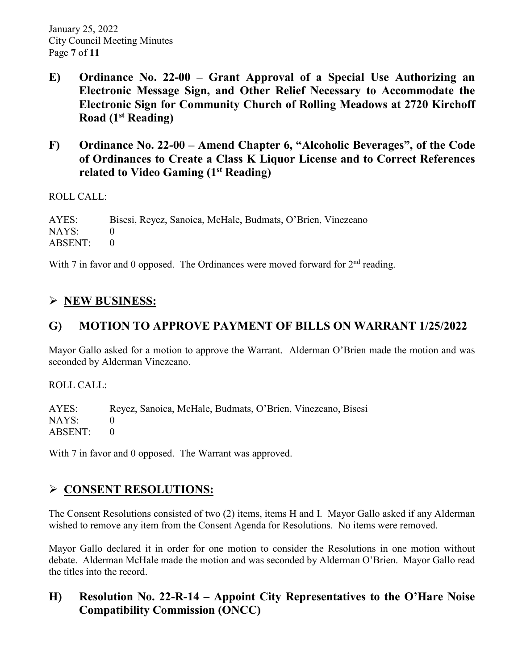- **E) Ordinance No. 22-00 – Grant Approval of a Special Use Authorizing an Electronic Message Sign, and Other Relief Necessary to Accommodate the Electronic Sign for Community Church of Rolling Meadows at 2720 Kirchoff Road (1st Reading)**
- **F) Ordinance No. 22-00 – Amend Chapter 6, "Alcoholic Beverages", of the Code of Ordinances to Create a Class K Liquor License and to Correct References related to Video Gaming (1st Reading)**

ROLL CALL:

AYES: Bisesi, Reyez, Sanoica, McHale, Budmats, O'Brien, Vinezeano NAYS: 0 ABSENT: 0

With 7 in favor and 0 opposed. The Ordinances were moved forward for  $2<sup>nd</sup>$  reading.

# **NEW BUSINESS:**

# **G) MOTION TO APPROVE PAYMENT OF BILLS ON WARRANT 1/25/2022**

Mayor Gallo asked for a motion to approve the Warrant. Alderman O'Brien made the motion and was seconded by Alderman Vinezeano.

ROLL CALL:

AYES: Reyez, Sanoica, McHale, Budmats, O'Brien, Vinezeano, Bisesi NAYS: 0 ABSENT: 0

With 7 in favor and 0 opposed. The Warrant was approved.

# **CONSENT RESOLUTIONS:**

The Consent Resolutions consisted of two (2) items, items H and I. Mayor Gallo asked if any Alderman wished to remove any item from the Consent Agenda for Resolutions. No items were removed.

Mayor Gallo declared it in order for one motion to consider the Resolutions in one motion without debate. Alderman McHale made the motion and was seconded by Alderman O'Brien. Mayor Gallo read the titles into the record.

# **H) Resolution No. 22-R-14 – Appoint City Representatives to the O'Hare Noise Compatibility Commission (ONCC)**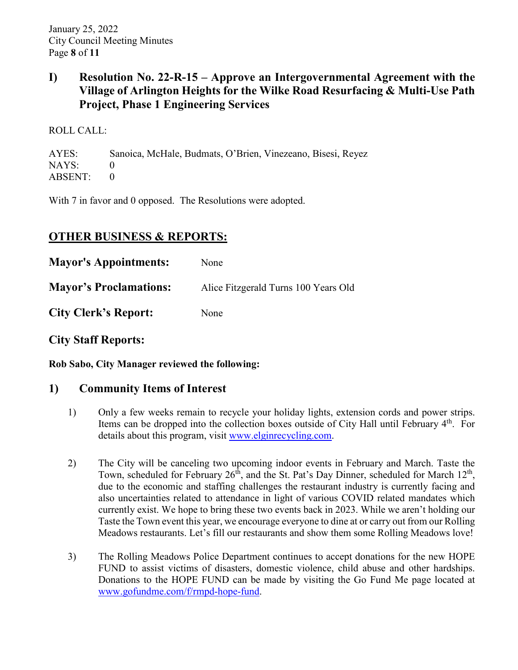## **I) Resolution No. 22-R-15 – Approve an Intergovernmental Agreement with the Village of Arlington Heights for the Wilke Road Resurfacing & Multi-Use Path Project, Phase 1 Engineering Services**

ROLL CALL:

AYES: Sanoica, McHale, Budmats, O'Brien, Vinezeano, Bisesi, Reyez NAYS: 0 ABSENT: 0

With 7 in favor and 0 opposed. The Resolutions were adopted.

# **OTHER BUSINESS & REPORTS:**

| <b>Mayor's Appointments:</b>  | None                                 |
|-------------------------------|--------------------------------------|
| <b>Mayor's Proclamations:</b> | Alice Fitzgerald Turns 100 Years Old |
| <b>City Clerk's Report:</b>   | None                                 |

**City Staff Reports:** 

**Rob Sabo, City Manager reviewed the following:** 

## **1) Community Items of Interest**

- 1) Only a few weeks remain to recycle your holiday lights, extension cords and power strips. Items can be dropped into the collection boxes outside of City Hall until February  $4<sup>th</sup>$ . For details about this program, visit [www.elginrecycling.com.](http://www.elginrecycling.com/)
- 2) The City will be canceling two upcoming indoor events in February and March. Taste the Town, scheduled for February  $26<sup>th</sup>$ , and the St. Pat's Day Dinner, scheduled for March  $12<sup>th</sup>$ , due to the economic and staffing challenges the restaurant industry is currently facing and also uncertainties related to attendance in light of various COVID related mandates which currently exist. We hope to bring these two events back in 2023. While we aren't holding our Taste the Town event this year, we encourage everyone to dine at or carry out from our Rolling Meadows restaurants. Let's fill our restaurants and show them some Rolling Meadows love!
- 3) The Rolling Meadows Police Department continues to accept donations for the new HOPE FUND to assist victims of disasters, domestic violence, child abuse and other hardships. Donations to the HOPE FUND can be made by visiting the Go Fund Me page located at [www.gofundme.com/f/rmpd-hope-fund.](http://www.gofundme.com/f/rmpd-hope-fund)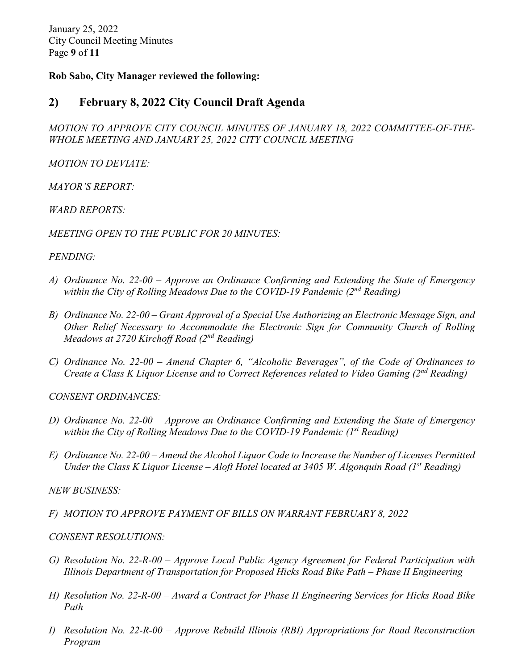January 25, 2022 City Council Meeting Minutes Page **9** of **11**

#### **Rob Sabo, City Manager reviewed the following:**

#### **2) February 8, 2022 City Council Draft Agenda**

*MOTION TO APPROVE CITY COUNCIL MINUTES OF JANUARY 18, 2022 COMMITTEE-OF-THE-WHOLE MEETING AND JANUARY 25, 2022 CITY COUNCIL MEETING* 

*MOTION TO DEVIATE:* 

*MAYOR'S REPORT:*

*WARD REPORTS:*

*MEETING OPEN TO THE PUBLIC FOR 20 MINUTES:* 

#### *PENDING:*

- *A) Ordinance No. 22-00 – Approve an Ordinance Confirming and Extending the State of Emergency within the City of Rolling Meadows Due to the COVID-19 Pandemic (2nd Reading)*
- *B) Ordinance No. 22-00 – Grant Approval of a Special Use Authorizing an Electronic Message Sign, and Other Relief Necessary to Accommodate the Electronic Sign for Community Church of Rolling Meadows at 2720 Kirchoff Road (2nd Reading)*
- *C) Ordinance No. 22-00 – Amend Chapter 6, "Alcoholic Beverages", of the Code of Ordinances to Create a Class K Liquor License and to Correct References related to Video Gaming (2nd Reading)*

*CONSENT ORDINANCES:* 

- *D) Ordinance No. 22-00 – Approve an Ordinance Confirming and Extending the State of Emergency within the City of Rolling Meadows Due to the COVID-19 Pandemic (1st Reading)*
- *E) Ordinance No. 22-00 – Amend the Alcohol Liquor Code to Increase the Number of Licenses Permitted Under the Class K Liquor License – Aloft Hotel located at 3405 W. Algonquin Road (1st Reading)*

*NEW BUSINESS:*

*F) MOTION TO APPROVE PAYMENT OF BILLS ON WARRANT FEBRUARY 8, 2022*

#### *CONSENT RESOLUTIONS:*

- *G) Resolution No. 22-R-00 – Approve Local Public Agency Agreement for Federal Participation with Illinois Department of Transportation for Proposed Hicks Road Bike Path – Phase II Engineering*
- *H) Resolution No. 22-R-00 – Award a Contract for Phase II Engineering Services for Hicks Road Bike Path*
- *I) Resolution No. 22-R-00 – Approve Rebuild Illinois (RBI) Appropriations for Road Reconstruction Program*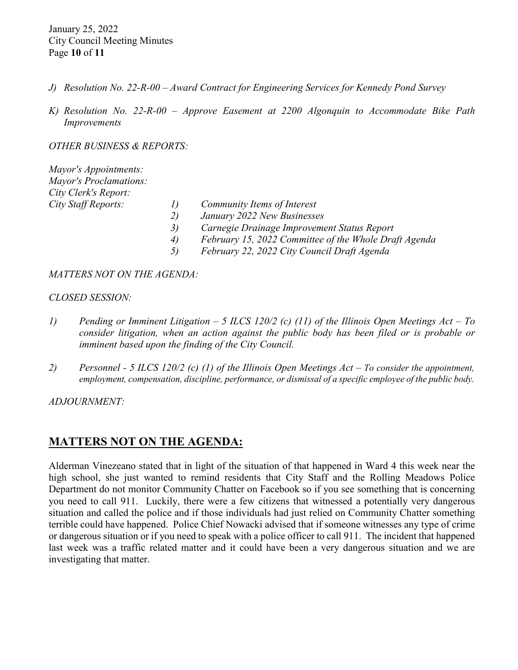January 25, 2022 City Council Meeting Minutes Page **10** of **11**

- *J) Resolution No. 22-R-00 – Award Contract for Engineering Services for Kennedy Pond Survey*
- *K) Resolution No. 22-R-00 – Approve Easement at 2200 Algonquin to Accommodate Bike Path Improvements*

*OTHER BUSINESS & REPORTS:* 

| Mayor's Appointments:                             |                                                       |
|---------------------------------------------------|-------------------------------------------------------|
| <b>Mayor's Proclamations:</b>                     |                                                       |
| City Clerk's Report:                              |                                                       |
| City Staff Reports:<br>$\prime$<br>2)<br>3)<br>4) | Community Items of Interest                           |
|                                                   | January 2022 New Businesses                           |
|                                                   | Carnegie Drainage Improvement Status Report           |
|                                                   | February 15, 2022 Committee of the Whole Draft Agenda |
|                                                   | February 22, 2022 City Council Draft Agenda           |

#### *MATTERS NOT ON THE AGENDA:*

#### *CLOSED SESSION:*

- *1) Pending or Imminent Litigation – 5 ILCS 120/2 (c) (11) of the Illinois Open Meetings Act – To consider litigation, when an action against the public body has been filed or is probable or imminent based upon the finding of the City Council.*
- *2) Personnel - 5 ILCS 120/2 (c) (1) of the Illinois Open Meetings Act – To consider the appointment, employment, compensation, discipline, performance, or dismissal of a specific employee of the public body.*

*ADJOURNMENT:* 

#### **MATTERS NOT ON THE AGENDA:**

Alderman Vinezeano stated that in light of the situation of that happened in Ward 4 this week near the high school, she just wanted to remind residents that City Staff and the Rolling Meadows Police Department do not monitor Community Chatter on Facebook so if you see something that is concerning you need to call 911. Luckily, there were a few citizens that witnessed a potentially very dangerous situation and called the police and if those individuals had just relied on Community Chatter something terrible could have happened. Police Chief Nowacki advised that if someone witnesses any type of crime or dangerous situation or if you need to speak with a police officer to call 911. The incident that happened last week was a traffic related matter and it could have been a very dangerous situation and we are investigating that matter.